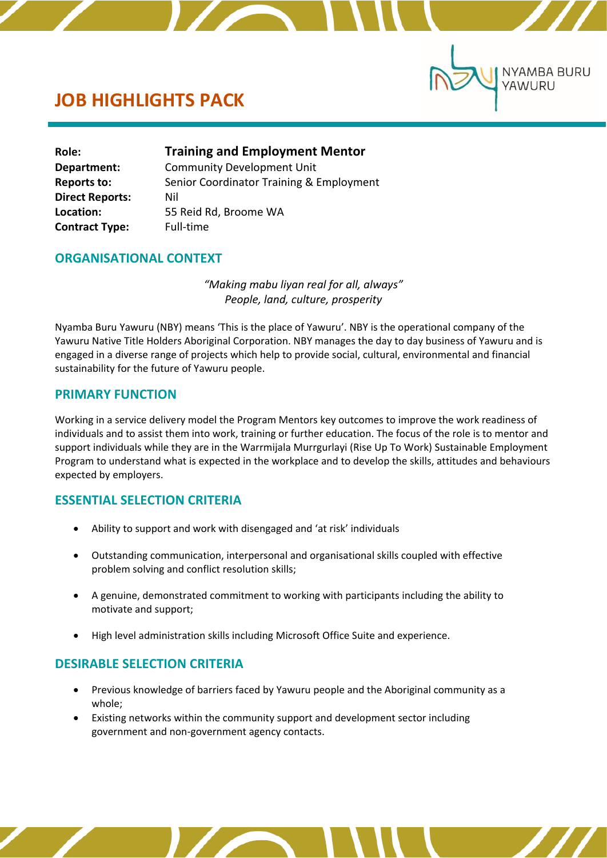

# **JOB HIGHLIGHTS PACK**

ľ

| Role:                  | <b>Training and Employment Mentor</b>    |
|------------------------|------------------------------------------|
| Department:            | <b>Community Development Unit</b>        |
| <b>Reports to:</b>     | Senior Coordinator Training & Employment |
| <b>Direct Reports:</b> | Nil                                      |
| Location:              | 55 Reid Rd, Broome WA                    |
| <b>Contract Type:</b>  | Full-time                                |

# **ORGANISATIONAL CONTEXT**

*"Making mabu liyan real for all, always" People, land, culture, prosperity*

Nyamba Buru Yawuru (NBY) means 'This is the place of Yawuru'. NBY is the operational company of the Yawuru Native Title Holders Aboriginal Corporation. NBY manages the day to day business of Yawuru and is engaged in a diverse range of projects which help to provide social, cultural, environmental and financial sustainability for the future of Yawuru people.

# **PRIMARY FUNCTION**

Working in a service delivery model the Program Mentors key outcomes to improve the work readiness of individuals and to assist them into work, training or further education. The focus of the role is to mentor and support individuals while they are in the Warrmijala Murrgurlayi (Rise Up To Work) Sustainable Employment Program to understand what is expected in the workplace and to develop the skills, attitudes and behaviours expected by employers.

# **ESSENTIAL SELECTION CRITERIA**

- Ability to support and work with disengaged and 'at risk' individuals
- Outstanding communication, interpersonal and organisational skills coupled with effective problem solving and conflict resolution skills;
- A genuine, demonstrated commitment to working with participants including the ability to motivate and support;
- High level administration skills including Microsoft Office Suite and experience.

# **DESIRABLE SELECTION CRITERIA**

- Previous knowledge of barriers faced by Yawuru people and the Aboriginal community as a whole;
- Existing networks within the community support and development sector including government and non-government agency contacts.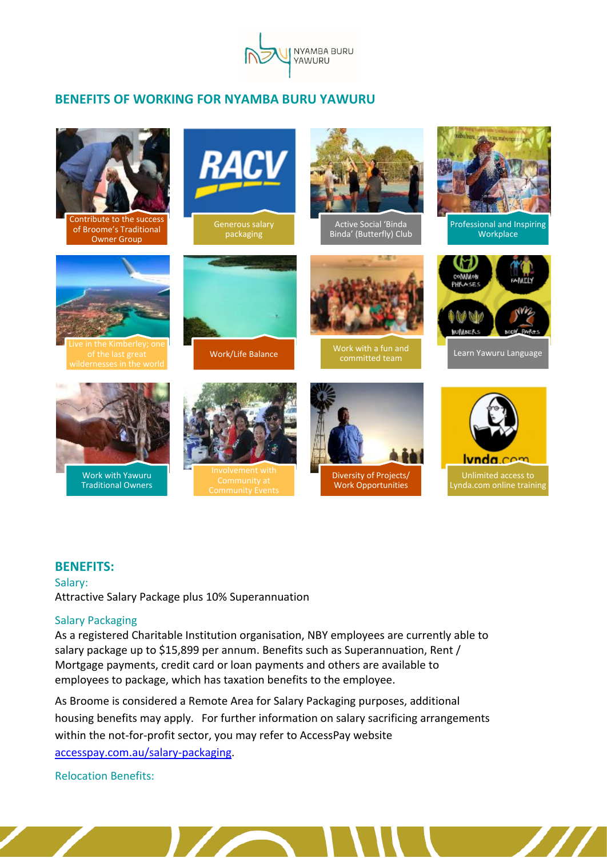

# **BENEFITS OF WORKING FOR NYAMBA BURU YAWURU**



## **BENEFITS:**

Salary: Attractive Salary Package plus 10% Superannuation

### Salary Packaging

As a registered Charitable Institution organisation, NBY employees are currently able to salary package up to \$15,899 per annum. Benefits such as Superannuation, Rent / Mortgage payments, credit card or loan payments and others are available to employees to package, which has taxation benefits to the employee.

As Broome is considered a Remote Area for Salary Packaging purposes, additional housing benefits may apply. For further information on salary sacrificing arrangements within the not-for-profit sector, you may refer to AccessPay website [accesspay.com.au/salary-packaging.](https://accesspay.com.au/salary-packaging/)

Relocation Benefits: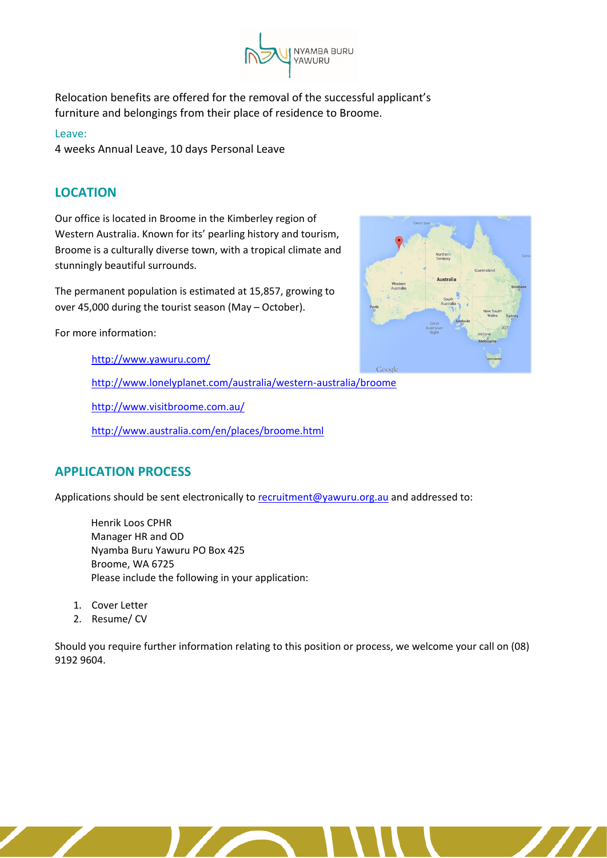

Relocation benefits are offered for the removal of the successful applicant's furniture and belongings from their place of residence to Broome.

### Leave:

4 weeks Annual Leave, 10 days Personal Leave

# **LOCATION**

Our office is located in Broome in the Kimberley region of Western Australia. Known for its' pearling history and tourism, Broome is a culturally diverse town, with a tropical climate and stunningly beautiful surrounds.

The permanent population is estimated at 15,857, growing to over 45,000 during the tourist season (May – October).

For more information:

<http://www.yawuru.com/>

<http://www.lonelyplanet.com/australia/western-australia/broome>

<http://www.visitbroome.com.au/>

<http://www.australia.com/en/places/broome.html>

# **APPLICATION PROCESS**

Applications should be sent electronically to [recruitment@yawuru.org.au](mailto:recruitment@yawuru.org.au) and addressed to:

Henrik Loos CPHR Manager HR and OD Nyamba Buru Yawuru PO Box 425 Broome, WA 6725 Please include the following in your application:

- 1. Cover Letter
- 2. Resume/ CV

Should you require further information relating to this position or process, we welcome your call on (08) 9192 9604.

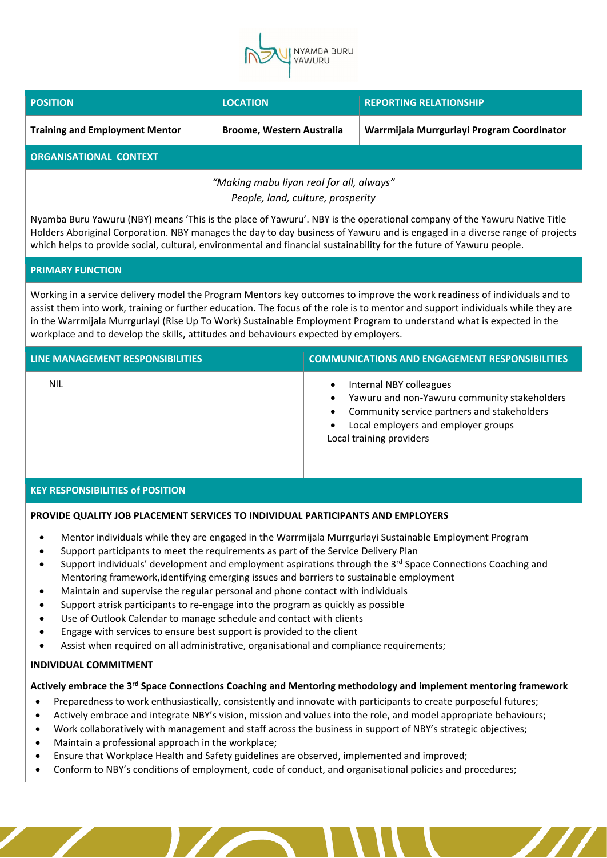

| <b>POSITION</b>                          | <b>LOCATION</b>                  | <b>REPORTING RELATIONSHIP</b>              |  |  |
|------------------------------------------|----------------------------------|--------------------------------------------|--|--|
| <b>Training and Employment Mentor</b>    | <b>Broome, Western Australia</b> | Warrmijala Murrgurlayi Program Coordinator |  |  |
| <b>ORGANISATIONAL CONTEXT</b>            |                                  |                                            |  |  |
| "Making mabu liyan real for all, always" |                                  |                                            |  |  |

*People, land, culture, prosperity*

Nyamba Buru Yawuru (NBY) means 'This is the place of Yawuru'. NBY is the operational company of the Yawuru Native Title Holders Aboriginal Corporation. NBY manages the day to day business of Yawuru and is engaged in a diverse range of projects which helps to provide social, cultural, environmental and financial sustainability for the future of Yawuru people.

#### **PRIMARY FUNCTION**

Working in a service delivery model the Program Mentors key outcomes to improve the work readiness of individuals and to assist them into work, training or further education. The focus of the role is to mentor and support individuals while they are in the Warrmijala Murrgurlayi (Rise Up To Work) Sustainable Employment Program to understand what is expected in the workplace and to develop the skills, attitudes and behaviours expected by employers.

| LINE MANAGEMENT RESPONSIBILITIES | <b>COMMUNICATIONS AND ENGAGEMENT RESPONSIBILITIES</b>                                                                                                                                                                                         |
|----------------------------------|-----------------------------------------------------------------------------------------------------------------------------------------------------------------------------------------------------------------------------------------------|
| NIL                              | Internal NBY colleagues<br>$\bullet$<br>Yawuru and non-Yawuru community stakeholders<br>$\bullet$<br>Community service partners and stakeholders<br>$\bullet$<br>Local employers and employer groups<br>$\bullet$<br>Local training providers |

#### **KEY RESPONSIBILITIES of POSITION**

### **PROVIDE QUALITY JOB PLACEMENT SERVICES TO INDIVIDUAL PARTICIPANTS AND EMPLOYERS**

- Mentor individuals while they are engaged in the Warrmijala Murrgurlayi Sustainable Employment Program
- Support participants to meet the requirements as part of the Service Delivery Plan
- Support individuals' development and employment aspirations through the 3<sup>rd</sup> Space Connections Coaching and Mentoring framework,identifying emerging issues and barriers to sustainable employment
- Maintain and supervise the regular personal and phone contact with individuals
- Support atrisk participants to re-engage into the program as quickly as possible
- Use of Outlook Calendar to manage schedule and contact with clients
- Engage with services to ensure best support is provided to the client
- Assist when required on all administrative, organisational and compliance requirements;

#### **INDIVIDUAL COMMITMENT**

### **Actively embrace the 3 rd Space Connections Coaching and Mentoring methodology and implement mentoring framework**

- Preparedness to work enthusiastically, consistently and innovate with participants to create purposeful futures;
- Actively embrace and integrate NBY's vision, mission and values into the role, and model appropriate behaviours;
- Work collaboratively with management and staff across the business in support of NBY's strategic objectives;
- Maintain a professional approach in the workplace;
- Ensure that Workplace Health and Safety guidelines are observed, implemented and improved;
- Conform to NBY's conditions of employment, code of conduct, and organisational policies and procedures;